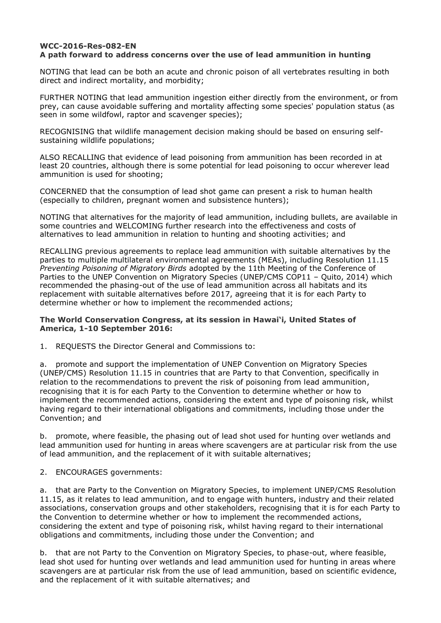## **WCC-2016-Res-082-EN A path forward to address concerns over the use of lead ammunition in hunting**

NOTING that lead can be both an acute and chronic poison of all vertebrates resulting in both direct and indirect mortality, and morbidity;

FURTHER NOTING that lead ammunition ingestion either directly from the environment, or from prey, can cause avoidable suffering and mortality affecting some species' population status (as seen in some wildfowl, raptor and scavenger species);

RECOGNISING that wildlife management decision making should be based on ensuring selfsustaining wildlife populations;

ALSO RECALLING that evidence of lead poisoning from ammunition has been recorded in at least 20 countries, although there is some potential for lead poisoning to occur wherever lead ammunition is used for shooting;

CONCERNED that the consumption of lead shot game can present a risk to human health (especially to children, pregnant women and subsistence hunters);

NOTING that alternatives for the majority of lead ammunition, including bullets, are available in some countries and WELCOMING further research into the effectiveness and costs of alternatives to lead ammunition in relation to hunting and shooting activities; and

RECALLING previous agreements to replace lead ammunition with suitable alternatives by the parties to multiple multilateral environmental agreements (MEAs), including Resolution 11.15 *Preventing Poisoning of Migratory Birds* adopted by the 11th Meeting of the Conference of Parties to the UNEP Convention on Migratory Species (UNEP/CMS COP11 – Quito, 2014) which recommended the phasing-out of the use of lead ammunition across all habitats and its replacement with suitable alternatives before 2017, agreeing that it is for each Party to determine whether or how to implement the recommended actions;

## **The World Conservation Congress, at its session in Hawai'i, United States of America, 1-10 September 2016:**

1. REQUESTS the Director General and Commissions to:

a. promote and support the implementation of UNEP Convention on Migratory Species (UNEP/CMS) Resolution 11.15 in countries that are Party to that Convention, specifically in relation to the recommendations to prevent the risk of poisoning from lead ammunition, recognising that it is for each Party to the Convention to determine whether or how to implement the recommended actions, considering the extent and type of poisoning risk, whilst having regard to their international obligations and commitments, including those under the Convention; and

b. promote, where feasible, the phasing out of lead shot used for hunting over wetlands and lead ammunition used for hunting in areas where scavengers are at particular risk from the use of lead ammunition, and the replacement of it with suitable alternatives;

2. ENCOURAGES governments:

a. that are Party to the Convention on Migratory Species, to implement UNEP/CMS Resolution 11.15, as it relates to lead ammunition, and to engage with hunters, industry and their related associations, conservation groups and other stakeholders, recognising that it is for each Party to the Convention to determine whether or how to implement the recommended actions, considering the extent and type of poisoning risk, whilst having regard to their international obligations and commitments, including those under the Convention; and

b. that are not Party to the Convention on Migratory Species, to phase-out, where feasible, lead shot used for hunting over wetlands and lead ammunition used for hunting in areas where scavengers are at particular risk from the use of lead ammunition, based on scientific evidence, and the replacement of it with suitable alternatives; and